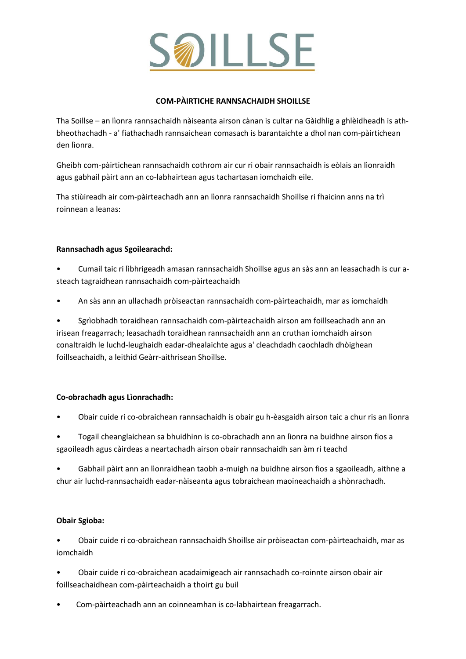

### **COM-PÀIRTICHE RANNSACHAIDH SHOILLSE**

Tha Soillse – an lìonra rannsachaidh nàiseanta airson cànan is cultar na Gàidhlig a ghlèidheadh is athbheothachadh - a' fiathachadh rannsaichean comasach is barantaichte a dhol nan com-pàirtichean den lìonra.

Gheibh com-pàirtichean rannsachaidh cothrom air cur ri obair rannsachaidh is eòlais an lìonraidh agus gabhail pàirt ann an co-labhairtean agus tachartasan iomchaidh eile.

Tha stiùireadh air com-pàirteachadh ann an lìonra rannsachaidh Shoillse ri fhaicinn anns na trì roinnean a leanas:

# **Rannsachadh agus Sgoilearachd:**

- Cumail taic ri lìbhrigeadh amasan rannsachaidh Shoillse agus an sàs ann an leasachadh is cur asteach tagraidhean rannsachaidh com-pàirteachaidh
- An sàs ann an ullachadh pròiseactan rannsachaidh com-pàirteachaidh, mar as iomchaidh

• Sgrìobhadh toraidhean rannsachaidh com-pàirteachaidh airson am foillseachadh ann an irisean freagarrach; leasachadh toraidhean rannsachaidh ann an cruthan iomchaidh airson conaltraidh le luchd-leughaidh eadar-dhealaichte agus a' cleachdadh caochladh dhòighean foillseachaidh, a leithid Geàrr-aithrisean Shoillse.

# **Co-obrachadh agus Lìonrachadh:**

• Obair cuide ri co-obraichean rannsachaidh is obair gu h-èasgaidh airson taic a chur ris an lìonra

• Togail cheanglaichean sa bhuidhinn is co-obrachadh ann an lìonra na buidhne airson fios a sgaoileadh agus càirdeas a neartachadh airson obair rannsachaidh san àm ri teachd

• Gabhail pàirt ann an lìonraidhean taobh a-muigh na buidhne airson fios a sgaoileadh, aithne a chur air luchd-rannsachaidh eadar-nàiseanta agus tobraichean maoineachaidh a shònrachadh.

# **Obair Sgioba:**

• Obair cuide ri co-obraichean rannsachaidh Shoillse air pròiseactan com-pàirteachaidh, mar as iomchaidh

• Obair cuide ri co-obraichean acadaimigeach air rannsachadh co-roinnte airson obair air foillseachaidhean com-pàirteachaidh a thoirt gu buil

• Com-pàirteachadh ann an coinneamhan is co-labhairtean freagarrach.